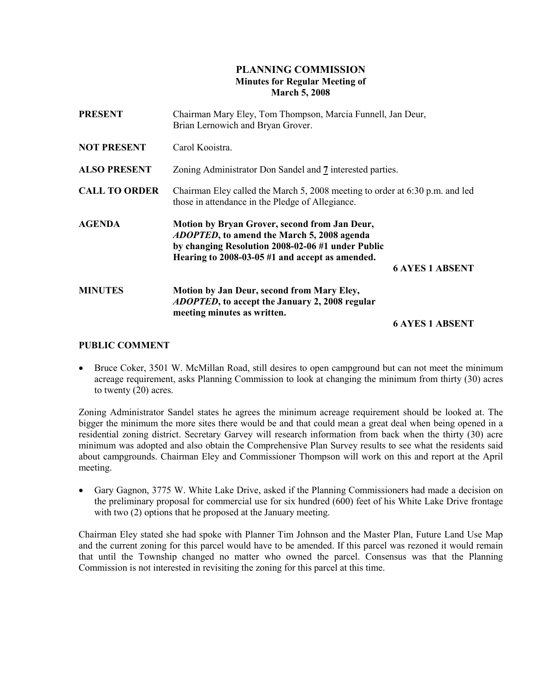# PLANNING COMMISSION Minutes for Regular Meeting of March 5, 2008

| <b>PRESENT</b>       | Chairman Mary Eley, Tom Thompson, Marcia Funnell, Jan Deur,<br>Brian Lernowich and Bryan Grover.                                                                                                            |                        |
|----------------------|-------------------------------------------------------------------------------------------------------------------------------------------------------------------------------------------------------------|------------------------|
| <b>NOT PRESENT</b>   | Carol Kooistra.                                                                                                                                                                                             |                        |
| <b>ALSO PRESENT</b>  | Zoning Administrator Don Sandel and 7 interested parties.                                                                                                                                                   |                        |
| <b>CALL TO ORDER</b> | Chairman Eley called the March 5, 2008 meeting to order at 6:30 p.m. and led<br>those in attendance in the Pledge of Allegiance.                                                                            |                        |
| <b>AGENDA</b>        | Motion by Bryan Grover, second from Jan Deur,<br><i>ADOPTED</i> , to amend the March 5, 2008 agenda<br>by changing Resolution 2008-02-06 #1 under Public<br>Hearing to 2008-03-05 #1 and accept as amended. | <b>6 AYES 1 ABSENT</b> |
| <b>MINUTES</b>       | Motion by Jan Deur, second from Mary Eley,<br><i>ADOPTED</i> , to accept the January 2, 2008 regular<br>meeting minutes as written.                                                                         |                        |
|                      |                                                                                                                                                                                                             | <b>6 AYES 1 ABSENT</b> |

## PUBLIC COMMENT

• Bruce Coker, 3501 W. McMillan Road, still desires to open campground but can not meet the minimum acreage requirement, asks Planning Commission to look at changing the minimum from thirty (30) acres to twenty (20) acres.

Zoning Administrator Sandel states he agrees the minimum acreage requirement should be looked at. The bigger the minimum the more sites there would be and that could mean a great deal when being opened in a residential zoning district. Secretary Garvey will research information from back when the thirty (30) acre minimum was adopted and also obtain the Comprehensive Plan Survey results to see what the residents said about campgrounds. Chairman Eley and Commissioner Thompson will work on this and report at the April meeting.

• Gary Gagnon, 3775 W. White Lake Drive, asked if the Planning Commissioners had made a decision on the preliminary proposal for commercial use for six hundred (600) feet of his White Lake Drive frontage with two (2) options that he proposed at the January meeting.

Chairman Eley stated she had spoke with Planner Tim Johnson and the Master Plan, Future Land Use Map and the current zoning for this parcel would have to be amended. If this parcel was rezoned it would remain that until the Township changed no matter who owned the parcel. Consensus was that the Planning Commission is not interested in revisiting the zoning for this parcel at this time.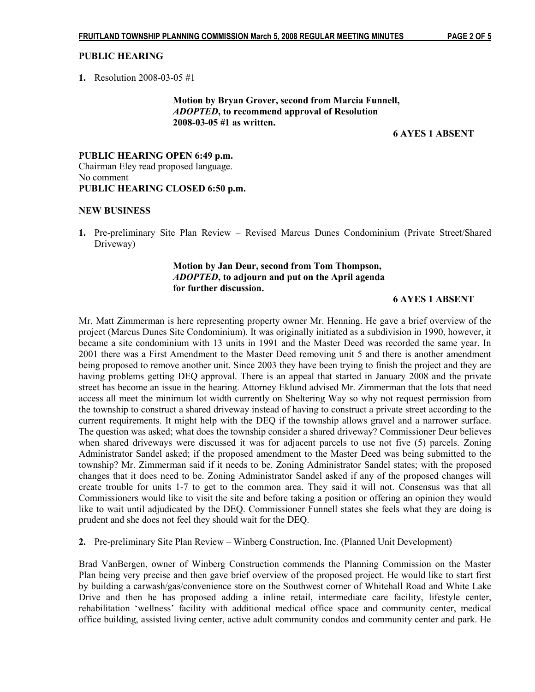## PUBLIC HEARING

1. Resolution 2008-03-05 #1

 Motion by Bryan Grover, second from Marcia Funnell, ADOPTED, to recommend approval of Resolution 2008-03-05 #1 as written.

## 6 AYES 1 ABSENT

PUBLIC HEARING OPEN 6:49 p.m. Chairman Eley read proposed language. No comment PUBLIC HEARING CLOSED 6:50 p.m.

### NEW BUSINESS

1. Pre-preliminary Site Plan Review – Revised Marcus Dunes Condominium (Private Street/Shared Driveway)

# Motion by Jan Deur, second from Tom Thompson, ADOPTED, to adjourn and put on the April agenda for further discussion.

## 6 AYES 1 ABSENT

Mr. Matt Zimmerman is here representing property owner Mr. Henning. He gave a brief overview of the project (Marcus Dunes Site Condominium). It was originally initiated as a subdivision in 1990, however, it became a site condominium with 13 units in 1991 and the Master Deed was recorded the same year. In 2001 there was a First Amendment to the Master Deed removing unit 5 and there is another amendment being proposed to remove another unit. Since 2003 they have been trying to finish the project and they are having problems getting DEQ approval. There is an appeal that started in January 2008 and the private street has become an issue in the hearing. Attorney Eklund advised Mr. Zimmerman that the lots that need access all meet the minimum lot width currently on Sheltering Way so why not request permission from the township to construct a shared driveway instead of having to construct a private street according to the current requirements. It might help with the DEQ if the township allows gravel and a narrower surface. The question was asked; what does the township consider a shared driveway? Commissioner Deur believes when shared driveways were discussed it was for adjacent parcels to use not five (5) parcels. Zoning Administrator Sandel asked; if the proposed amendment to the Master Deed was being submitted to the township? Mr. Zimmerman said if it needs to be. Zoning Administrator Sandel states; with the proposed changes that it does need to be. Zoning Administrator Sandel asked if any of the proposed changes will create trouble for units 1-7 to get to the common area. They said it will not. Consensus was that all Commissioners would like to visit the site and before taking a position or offering an opinion they would like to wait until adjudicated by the DEQ. Commissioner Funnell states she feels what they are doing is prudent and she does not feel they should wait for the DEQ.

2. Pre-preliminary Site Plan Review – Winberg Construction, Inc. (Planned Unit Development)

Brad VanBergen, owner of Winberg Construction commends the Planning Commission on the Master Plan being very precise and then gave brief overview of the proposed project. He would like to start first by building a carwash/gas/convenience store on the Southwest corner of Whitehall Road and White Lake Drive and then he has proposed adding a inline retail, intermediate care facility, lifestyle center, rehabilitation 'wellness' facility with additional medical office space and community center, medical office building, assisted living center, active adult community condos and community center and park. He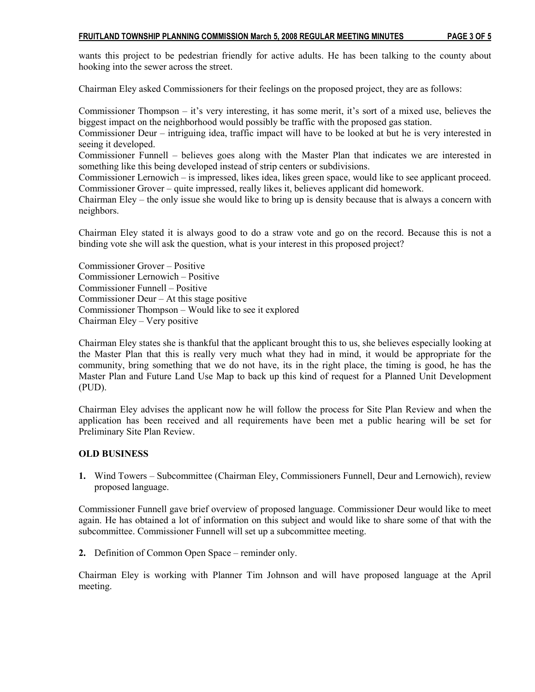### FRUITLAND TOWNSHIP PLANNING COMMISSION March 5, 2008 REGULAR MEETING MINUTES PAGE 3 OF 5

wants this project to be pedestrian friendly for active adults. He has been talking to the county about hooking into the sewer across the street.

Chairman Eley asked Commissioners for their feelings on the proposed project, they are as follows:

Commissioner Thompson – it's very interesting, it has some merit, it's sort of a mixed use, believes the biggest impact on the neighborhood would possibly be traffic with the proposed gas station.

Commissioner Deur – intriguing idea, traffic impact will have to be looked at but he is very interested in seeing it developed.

Commissioner Funnell – believes goes along with the Master Plan that indicates we are interested in something like this being developed instead of strip centers or subdivisions.

Commissioner Lernowich – is impressed, likes idea, likes green space, would like to see applicant proceed. Commissioner Grover – quite impressed, really likes it, believes applicant did homework.

Chairman Eley – the only issue she would like to bring up is density because that is always a concern with neighbors.

Chairman Eley stated it is always good to do a straw vote and go on the record. Because this is not a binding vote she will ask the question, what is your interest in this proposed project?

Commissioner Grover – Positive Commissioner Lernowich – Positive Commissioner Funnell – Positive Commissioner Deur – At this stage positive Commissioner Thompson – Would like to see it explored Chairman Eley – Very positive

Chairman Eley states she is thankful that the applicant brought this to us, she believes especially looking at the Master Plan that this is really very much what they had in mind, it would be appropriate for the community, bring something that we do not have, its in the right place, the timing is good, he has the Master Plan and Future Land Use Map to back up this kind of request for a Planned Unit Development (PUD).

Chairman Eley advises the applicant now he will follow the process for Site Plan Review and when the application has been received and all requirements have been met a public hearing will be set for Preliminary Site Plan Review.

## OLD BUSINESS

1. Wind Towers – Subcommittee (Chairman Eley, Commissioners Funnell, Deur and Lernowich), review proposed language.

Commissioner Funnell gave brief overview of proposed language. Commissioner Deur would like to meet again. He has obtained a lot of information on this subject and would like to share some of that with the subcommittee. Commissioner Funnell will set up a subcommittee meeting.

2. Definition of Common Open Space – reminder only.

Chairman Eley is working with Planner Tim Johnson and will have proposed language at the April meeting.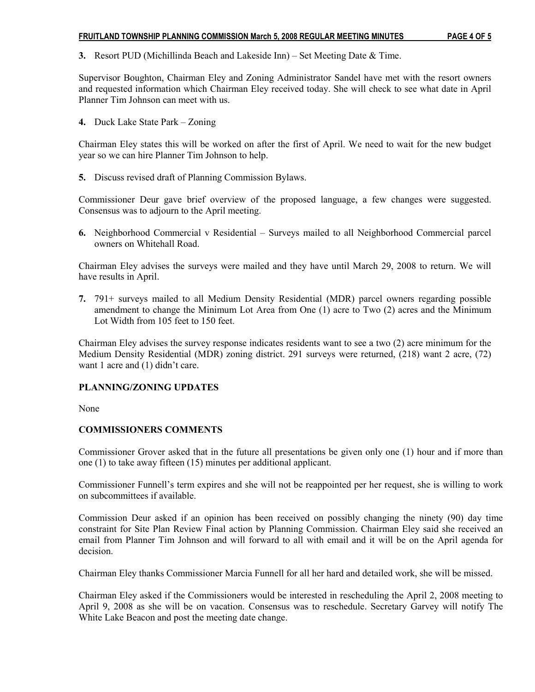## FRUITLAND TOWNSHIP PLANNING COMMISSION March 5, 2008 REGULAR MEETING MINUTES PAGE 4 OF 5

3. Resort PUD (Michillinda Beach and Lakeside Inn) – Set Meeting Date & Time.

Supervisor Boughton, Chairman Eley and Zoning Administrator Sandel have met with the resort owners and requested information which Chairman Eley received today. She will check to see what date in April Planner Tim Johnson can meet with us.

4. Duck Lake State Park – Zoning

Chairman Eley states this will be worked on after the first of April. We need to wait for the new budget year so we can hire Planner Tim Johnson to help.

5. Discuss revised draft of Planning Commission Bylaws.

Commissioner Deur gave brief overview of the proposed language, a few changes were suggested. Consensus was to adjourn to the April meeting.

6. Neighborhood Commercial v Residential – Surveys mailed to all Neighborhood Commercial parcel owners on Whitehall Road.

Chairman Eley advises the surveys were mailed and they have until March 29, 2008 to return. We will have results in April.

7. 791+ surveys mailed to all Medium Density Residential (MDR) parcel owners regarding possible amendment to change the Minimum Lot Area from One (1) acre to Two (2) acres and the Minimum Lot Width from 105 feet to 150 feet.

Chairman Eley advises the survey response indicates residents want to see a two (2) acre minimum for the Medium Density Residential (MDR) zoning district. 291 surveys were returned, (218) want 2 acre, (72) want 1 acre and (1) didn't care.

## PLANNING/ZONING UPDATES

None

## COMMISSIONERS COMMENTS

Commissioner Grover asked that in the future all presentations be given only one (1) hour and if more than one (1) to take away fifteen (15) minutes per additional applicant.

Commissioner Funnell's term expires and she will not be reappointed per her request, she is willing to work on subcommittees if available.

Commission Deur asked if an opinion has been received on possibly changing the ninety (90) day time constraint for Site Plan Review Final action by Planning Commission. Chairman Eley said she received an email from Planner Tim Johnson and will forward to all with email and it will be on the April agenda for decision.

Chairman Eley thanks Commissioner Marcia Funnell for all her hard and detailed work, she will be missed.

Chairman Eley asked if the Commissioners would be interested in rescheduling the April 2, 2008 meeting to April 9, 2008 as she will be on vacation. Consensus was to reschedule. Secretary Garvey will notify The White Lake Beacon and post the meeting date change.